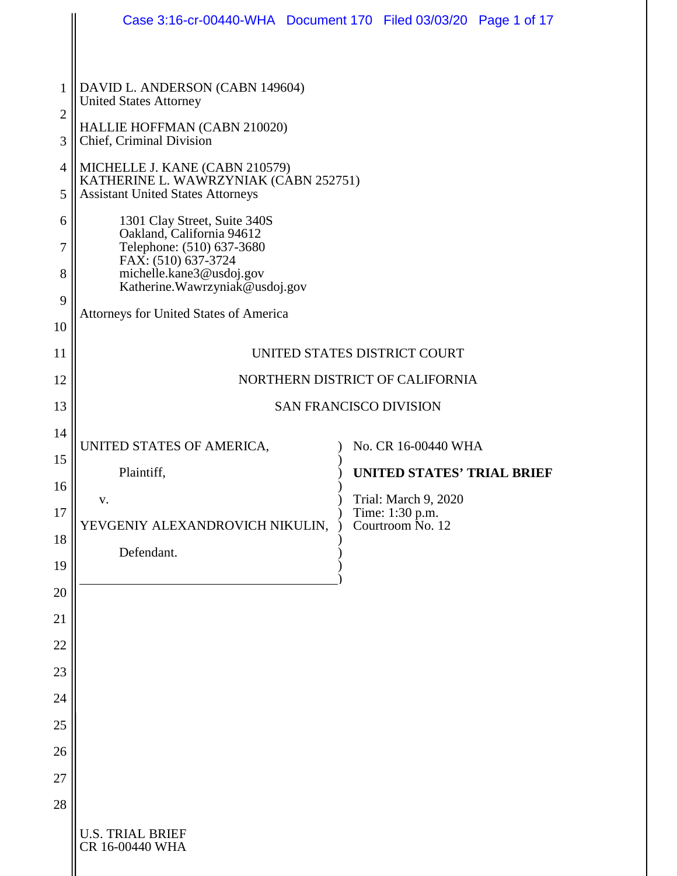|                     | Case 3:16-cr-00440-WHA Document 170 Filed 03/03/20 Page 1 of 17                                               |                                                 |                                         |  |  |
|---------------------|---------------------------------------------------------------------------------------------------------------|-------------------------------------------------|-----------------------------------------|--|--|
|                     |                                                                                                               |                                                 |                                         |  |  |
| 1                   | DAVID L. ANDERSON (CABN 149604)<br><b>United States Attorney</b>                                              |                                                 |                                         |  |  |
| $\overline{2}$<br>3 | HALLIE HOFFMAN (CABN 210020)<br>Chief, Criminal Division                                                      |                                                 |                                         |  |  |
| $\overline{4}$      | MICHELLE J. KANE (CABN 210579)                                                                                |                                                 |                                         |  |  |
| 5                   | KATHERINE L. WAWRZYNIAK (CABN 252751)<br><b>Assistant United States Attorneys</b>                             |                                                 |                                         |  |  |
| 6                   | 1301 Clay Street, Suite 340S<br>Oakland, California 94612<br>Telephone: (510) 637-3680<br>FAX: (510) 637-3724 |                                                 |                                         |  |  |
| 7                   |                                                                                                               |                                                 |                                         |  |  |
| 8                   | michelle.kane3@usdoj.gov<br>Katherine. Wawrzyniak@usdoj.gov                                                   |                                                 |                                         |  |  |
| 9                   | <b>Attorneys for United States of America</b>                                                                 |                                                 |                                         |  |  |
| 10<br>11            |                                                                                                               |                                                 |                                         |  |  |
| 12                  | UNITED STATES DISTRICT COURT<br>NORTHERN DISTRICT OF CALIFORNIA                                               |                                                 |                                         |  |  |
| 13                  | SAN FRANCISCO DIVISION                                                                                        |                                                 |                                         |  |  |
| 14                  |                                                                                                               |                                                 |                                         |  |  |
| 15                  | UNITED STATES OF AMERICA,                                                                                     |                                                 | No. CR 16-00440 WHA                     |  |  |
| 16                  |                                                                                                               | Plaintiff,<br><b>UNITED STATES' TRIAL BRIEF</b> |                                         |  |  |
| 17                  | V.                                                                                                            |                                                 | Trial: March 9, 2020<br>Time: 1:30 p.m. |  |  |
| 18                  | YEVGENIY ALEXANDROVICH NIKULIN,<br>Defendant.                                                                 |                                                 | Courtroom No. 12                        |  |  |
| 19                  |                                                                                                               |                                                 |                                         |  |  |
| 20                  |                                                                                                               |                                                 |                                         |  |  |
| 21                  |                                                                                                               |                                                 |                                         |  |  |
| 22                  |                                                                                                               |                                                 |                                         |  |  |
| 23                  |                                                                                                               |                                                 |                                         |  |  |
| 24<br>25            |                                                                                                               |                                                 |                                         |  |  |
| 26                  |                                                                                                               |                                                 |                                         |  |  |
| 27                  |                                                                                                               |                                                 |                                         |  |  |
| 28                  |                                                                                                               |                                                 |                                         |  |  |
|                     | <b>U.S. TRIAL BRIEF</b><br>CR 16-00440 WHA                                                                    |                                                 |                                         |  |  |
|                     |                                                                                                               |                                                 |                                         |  |  |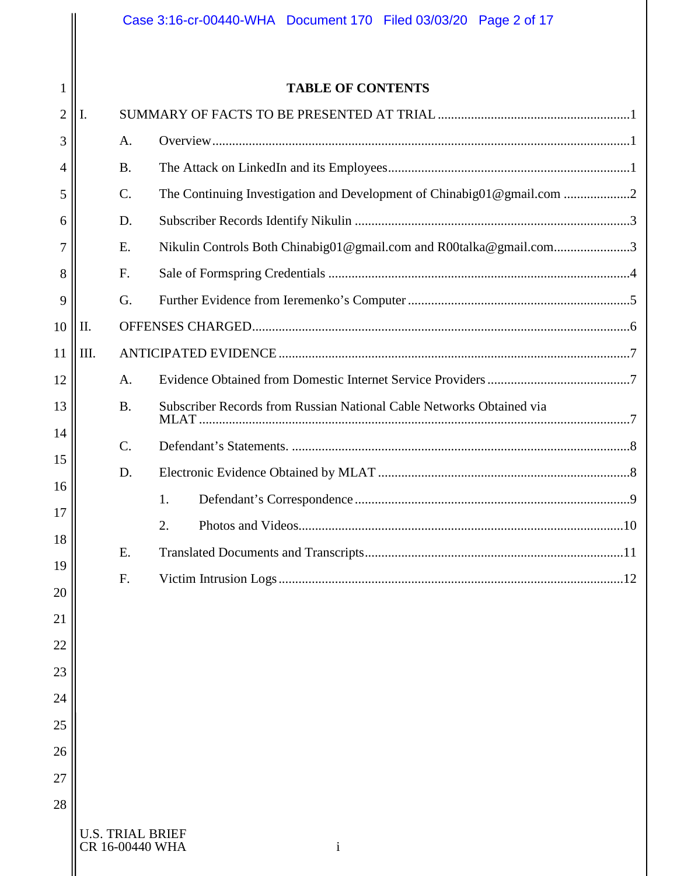|                |      |                                            | Case 3:16-cr-00440-WHA Document 170 Filed 03/03/20 Page 2 of 17      |  |  |
|----------------|------|--------------------------------------------|----------------------------------------------------------------------|--|--|
|                |      |                                            |                                                                      |  |  |
| $\mathbf{1}$   |      |                                            | <b>TABLE OF CONTENTS</b>                                             |  |  |
| $\overline{2}$ | I.   |                                            |                                                                      |  |  |
| 3              |      | A.                                         |                                                                      |  |  |
| 4              |      | <b>B.</b>                                  |                                                                      |  |  |
| 5              |      | $\mathcal{C}$ .                            | The Continuing Investigation and Development of Chinabig01@gmail.com |  |  |
| 6              |      | D.                                         |                                                                      |  |  |
| 7              |      | E.                                         | Nikulin Controls Both Chinabig01@gmail.com and R00talka@gmail.com3   |  |  |
| 8              |      | F.                                         |                                                                      |  |  |
| 9              |      | G.                                         |                                                                      |  |  |
| 10             | II.  |                                            |                                                                      |  |  |
| 11             | III. |                                            |                                                                      |  |  |
| 12             |      | A.                                         |                                                                      |  |  |
| 13             |      | <b>B.</b>                                  | Subscriber Records from Russian National Cable Networks Obtained via |  |  |
| 14             |      | $\mathcal{C}$ .                            |                                                                      |  |  |
| 15             |      | D.                                         |                                                                      |  |  |
| 16             |      |                                            | 1.                                                                   |  |  |
| 17             |      |                                            | 2.                                                                   |  |  |
| 18             |      | E.                                         |                                                                      |  |  |
| 19             |      | F.                                         |                                                                      |  |  |
| 20             |      |                                            |                                                                      |  |  |
| 21             |      |                                            |                                                                      |  |  |
| 22             |      |                                            |                                                                      |  |  |
| 23             |      |                                            |                                                                      |  |  |
| 24             |      |                                            |                                                                      |  |  |
| 25             |      |                                            |                                                                      |  |  |
| 26             |      |                                            |                                                                      |  |  |
| 27             |      |                                            |                                                                      |  |  |
| 28             |      |                                            |                                                                      |  |  |
|                |      | <b>U.S. TRIAL BRIEF</b><br>CR 16-00440 WHA | $\mathbf{i}$                                                         |  |  |
|                |      |                                            |                                                                      |  |  |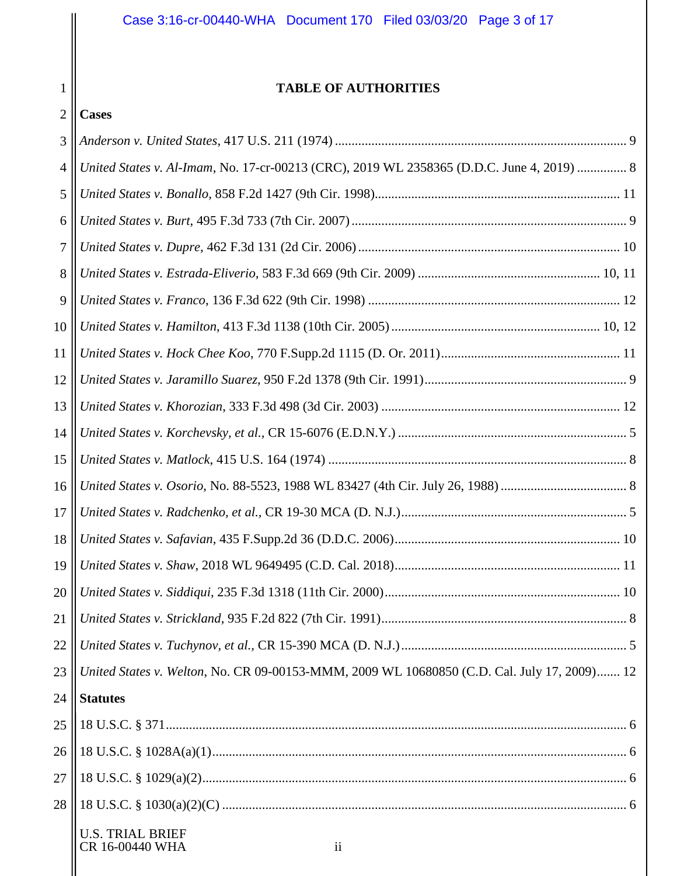# **TABLE OF AUTHORITIES**

| -<br>∪ases |
|------------|
|            |

| 3              |                                                                                             |
|----------------|---------------------------------------------------------------------------------------------|
| $\overline{4}$ | United States v. Al-Imam, No. 17-cr-00213 (CRC), 2019 WL 2358365 (D.D.C. June 4, 2019)  8   |
| 5              |                                                                                             |
| 6              |                                                                                             |
| 7              |                                                                                             |
| 8              |                                                                                             |
| 9              |                                                                                             |
| 10             |                                                                                             |
| 11             |                                                                                             |
| 12             |                                                                                             |
| 13             |                                                                                             |
| 14             |                                                                                             |
| 15             |                                                                                             |
| 16             |                                                                                             |
| 17             |                                                                                             |
| 18             |                                                                                             |
| 19             |                                                                                             |
| 20             |                                                                                             |
| 21             |                                                                                             |
| 22             |                                                                                             |
| 23             | United States v. Welton, No. CR 09-00153-MMM, 2009 WL 10680850 (C.D. Cal. July 17, 2009) 12 |
| 24             | <b>Statutes</b>                                                                             |
| 25             |                                                                                             |
| 26             |                                                                                             |
| 27             |                                                                                             |
| 28             |                                                                                             |
|                | <b>U.S. TRIAL BRIEF</b><br>CR 16-00440 WHA<br>$\overline{\mathbf{u}}$                       |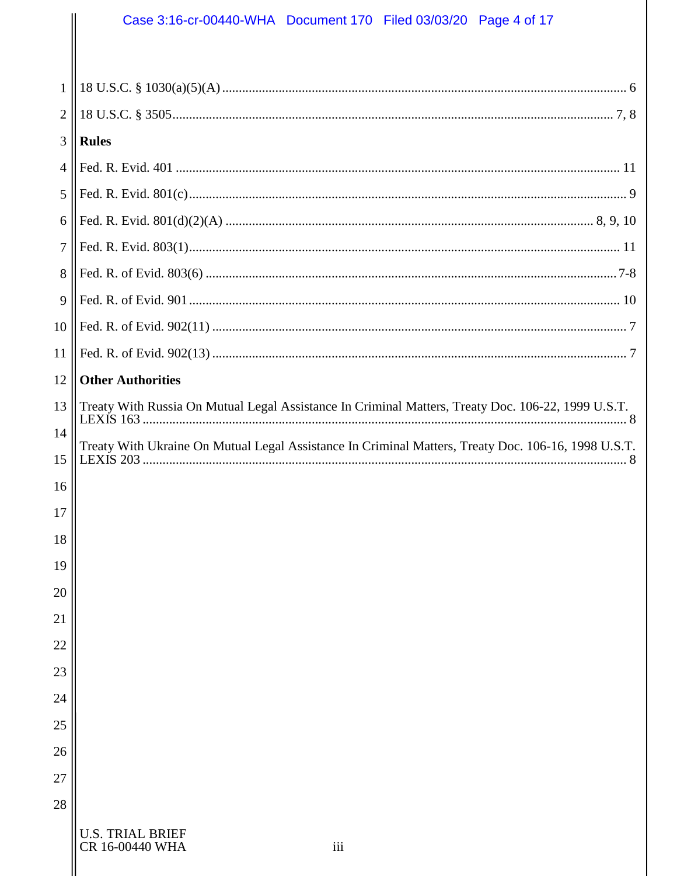# Case 3:16-cr-00440-WHA Document 170 Filed 03/03/20 Page 4 of 17

| $\mathbf{1}$   |                                                                                                     |  |  |
|----------------|-----------------------------------------------------------------------------------------------------|--|--|
| $\overline{2}$ |                                                                                                     |  |  |
| 3              | <b>Rules</b>                                                                                        |  |  |
| 4              |                                                                                                     |  |  |
| 5              |                                                                                                     |  |  |
| 6              |                                                                                                     |  |  |
| $\overline{7}$ |                                                                                                     |  |  |
| 8              |                                                                                                     |  |  |
| 9              |                                                                                                     |  |  |
| 10             |                                                                                                     |  |  |
| 11             |                                                                                                     |  |  |
| 12             | <b>Other Authorities</b>                                                                            |  |  |
| 13             | Treaty With Russia On Mutual Legal Assistance In Criminal Matters, Treaty Doc. 106-22, 1999 U.S.T.  |  |  |
| 14             | Treaty With Ukraine On Mutual Legal Assistance In Criminal Matters, Treaty Doc. 106-16, 1998 U.S.T. |  |  |
| 15             |                                                                                                     |  |  |
| 16             |                                                                                                     |  |  |
| 17             |                                                                                                     |  |  |
| 18             |                                                                                                     |  |  |
| 19             |                                                                                                     |  |  |
| 20             |                                                                                                     |  |  |
| 21             |                                                                                                     |  |  |
| 22             |                                                                                                     |  |  |
| 23             |                                                                                                     |  |  |
| 24             |                                                                                                     |  |  |
| 25             |                                                                                                     |  |  |
| 26             |                                                                                                     |  |  |
| 27             |                                                                                                     |  |  |
| 28             |                                                                                                     |  |  |
|                | <b>U.S. TRIAL BRIEF</b><br>CR 16-00440 WHA<br>iii                                                   |  |  |

 $\parallel$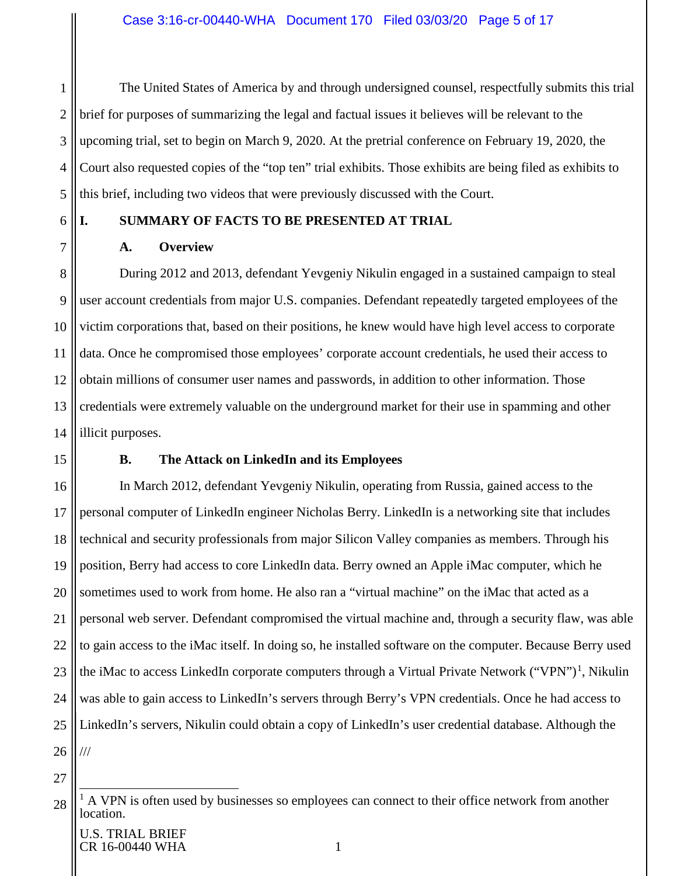1 2 3 4 5 The United States of America by and through undersigned counsel, respectfully submits this trial brief for purposes of summarizing the legal and factual issues it believes will be relevant to the upcoming trial, set to begin on March 9, 2020. At the pretrial conference on February 19, 2020, the Court also requested copies of the "top ten" trial exhibits. Those exhibits are being filed as exhibits to this brief, including two videos that were previously discussed with the Court.

# 6 7

# **A. Overview**

8 9 10 11 12 13 14 During 2012 and 2013, defendant Yevgeniy Nikulin engaged in a sustained campaign to steal user account credentials from major U.S. companies. Defendant repeatedly targeted employees of the victim corporations that, based on their positions, he knew would have high level access to corporate data. Once he compromised those employees' corporate account credentials, he used their access to obtain millions of consumer user names and passwords, in addition to other information. Those credentials were extremely valuable on the underground market for their use in spamming and other illicit purposes.

<span id="page-4-2"></span>15

# **B. The Attack on LinkedIn and its Employees**

<span id="page-4-1"></span><span id="page-4-0"></span>**I. SUMMARY OF FACTS TO BE PRESENTED AT TRIAL**

16 17 18 19 20 21 22 23 24 25 26 In March 2012, defendant Yevgeniy Nikulin, operating from Russia, gained access to the personal computer of LinkedIn engineer Nicholas Berry. LinkedIn is a networking site that includes technical and security professionals from major Silicon Valley companies as members. Through his position, Berry had access to core LinkedIn data. Berry owned an Apple iMac computer, which he sometimes used to work from home. He also ran a "virtual machine" on the iMac that acted as a personal web server. Defendant compromised the virtual machine and, through a security flaw, was able to gain access to the iMac itself. In doing so, he installed software on the computer. Because Berry used the iMac to access LinkedIn corporate computers through a Virtual Private Network ("VPN")<sup>[1](#page-4-3)</sup>, Nikulin was able to gain access to LinkedIn's servers through Berry's VPN credentials. Once he had access to LinkedIn's servers, Nikulin could obtain a copy of LinkedIn's user credential database. Although the ///

<span id="page-4-3"></span><sup>28</sup>  $<sup>1</sup>$  A VPN is often used by businesses so employees can connect to their office network from another</sup> location.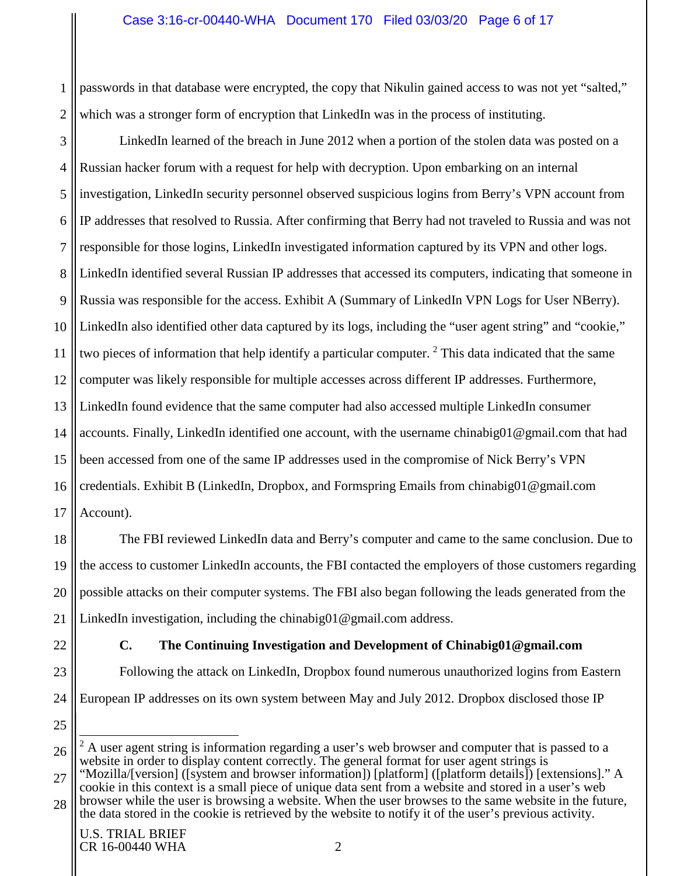#### Case 3:16-cr-00440-WHA Document 170 Filed 03/03/20 Page 6 of 17

1 2 passwords in that database were encrypted, the copy that Nikulin gained access to was not yet "salted," which was a stronger form of encryption that LinkedIn was in the process of instituting.

3 4 5 6 7 8 9 10 11 12 13 14 15 16 17 LinkedIn learned of the breach in June 2012 when a portion of the stolen data was posted on a Russian hacker forum with a request for help with decryption. Upon embarking on an internal investigation, LinkedIn security personnel observed suspicious logins from Berry's VPN account from IP addresses that resolved to Russia. After confirming that Berry had not traveled to Russia and was not responsible for those logins, LinkedIn investigated information captured by its VPN and other logs. LinkedIn identified several Russian IP addresses that accessed its computers, indicating that someone in Russia was responsible for the access. Exhibit A (Summary of LinkedIn VPN Logs for User NBerry). LinkedIn also identified other data captured by its logs, including the "user agent string" and "cookie," two pieces of information that help identify a particular computer. <sup>[2](#page-5-1)</sup> This data indicated that the same computer was likely responsible for multiple accesses across different IP addresses. Furthermore, LinkedIn found evidence that the same computer had also accessed multiple LinkedIn consumer accounts. Finally, LinkedIn identified one account, with the username chinabig01@gmail.com that had been accessed from one of the same IP addresses used in the compromise of Nick Berry's VPN credentials. Exhibit B (LinkedIn, Dropbox, and Formspring Emails from chinabig01@gmail.com Account).

18 19 20 21 The FBI reviewed LinkedIn data and Berry's computer and came to the same conclusion. Due to the access to customer LinkedIn accounts, the FBI contacted the employers of those customers regarding possible attacks on their computer systems. The FBI also began following the leads generated from the LinkedIn investigation, including the chinabig01@gmail.com address.

<span id="page-5-0"></span>22

25

- **C. The Continuing Investigation and Development of Chinabig01@gmail.com**
- 23 24 Following the attack on LinkedIn, Dropbox found numerous unauthorized logins from Eastern European IP addresses on its own system between May and July 2012. Dropbox disclosed those IP

27 28 cookie in this context is a small piece of unique data sent from a website and stored in a user's web browser while the user is browsing a website. When the user browses to the same website in the future, the data stored in the cookie is retrieved by the website to notify it of the user's previous activity.

<span id="page-5-1"></span><sup>26</sup>  $2<sup>2</sup>$  A user agent string is information regarding a user's web browser and computer that is passed to a website in order to display content correctly. The general format for user agent strings is "Mozilla/[version] ([system and browser information]) [platform] ([platform details]) [extensions]." A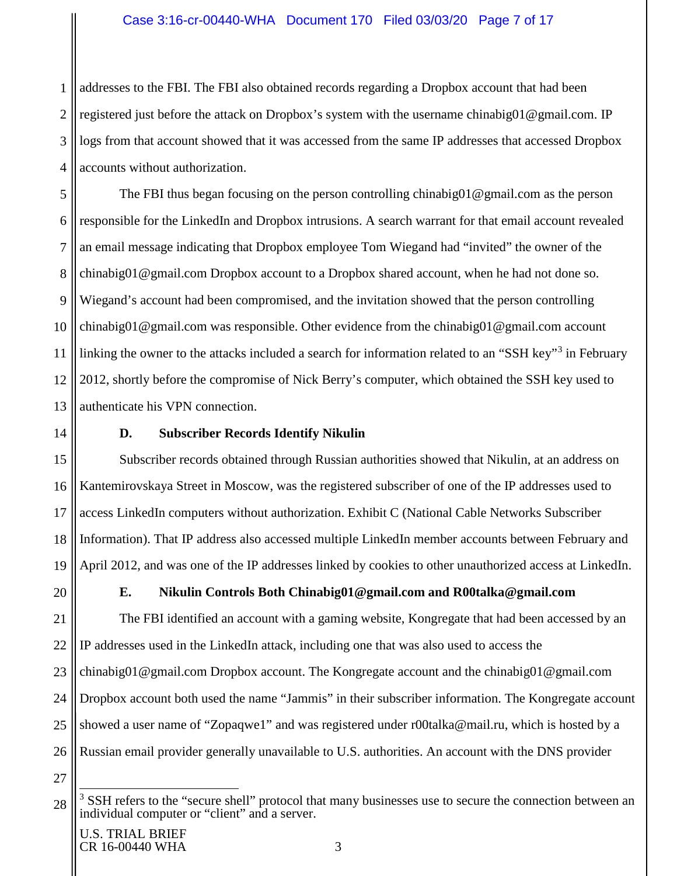1 2 3 4 addresses to the FBI. The FBI also obtained records regarding a Dropbox account that had been registered just before the attack on Dropbox's system with the username chinabig01@gmail.com. IP logs from that account showed that it was accessed from the same IP addresses that accessed Dropbox accounts without authorization.

5 6 7 8 9 10 11 12 13 The FBI thus began focusing on the person controlling chinabig01@gmail.com as the person responsible for the LinkedIn and Dropbox intrusions. A search warrant for that email account revealed an email message indicating that Dropbox employee Tom Wiegand had "invited" the owner of the chinabig01@gmail.com Dropbox account to a Dropbox shared account, when he had not done so. Wiegand's account had been compromised, and the invitation showed that the person controlling chinabig01@gmail.com was responsible. Other evidence from the chinabig01@gmail.com account linking the owner to the attacks included a search for information related to an "SSH key"<sup>[3](#page-6-2)</sup> in February 2012, shortly before the compromise of Nick Berry's computer, which obtained the SSH key used to authenticate his VPN connection.

<span id="page-6-0"></span>14 15

# **D. Subscriber Records Identify Nikulin**

16 17 18 19 Subscriber records obtained through Russian authorities showed that Nikulin, at an address on Kantemirovskaya Street in Moscow, was the registered subscriber of one of the IP addresses used to access LinkedIn computers without authorization. Exhibit C (National Cable Networks Subscriber Information). That IP address also accessed multiple LinkedIn member accounts between February and April 2012, and was one of the IP addresses linked by cookies to other unauthorized access at LinkedIn.

<span id="page-6-1"></span>20

# **E. Nikulin Controls Both Chinabig01@gmail.com and R00talka@gmail.com**

21 22 23 24 25 26 The FBI identified an account with a gaming website, Kongregate that had been accessed by an IP addresses used in the LinkedIn attack, including one that was also used to access the chinabig01@gmail.com Dropbox account. The Kongregate account and the chinabig01@gmail.com Dropbox account both used the name "Jammis" in their subscriber information. The Kongregate account showed a user name of "Zopaqwe1" and was registered under r00talka@mail.ru, which is hosted by a Russian email provider generally unavailable to U.S. authorities. An account with the DNS provider

<span id="page-6-2"></span><sup>28</sup> <sup>3</sup> SSH refers to the "secure shell" protocol that many businesses use to secure the connection between an individual computer or "client" and a server.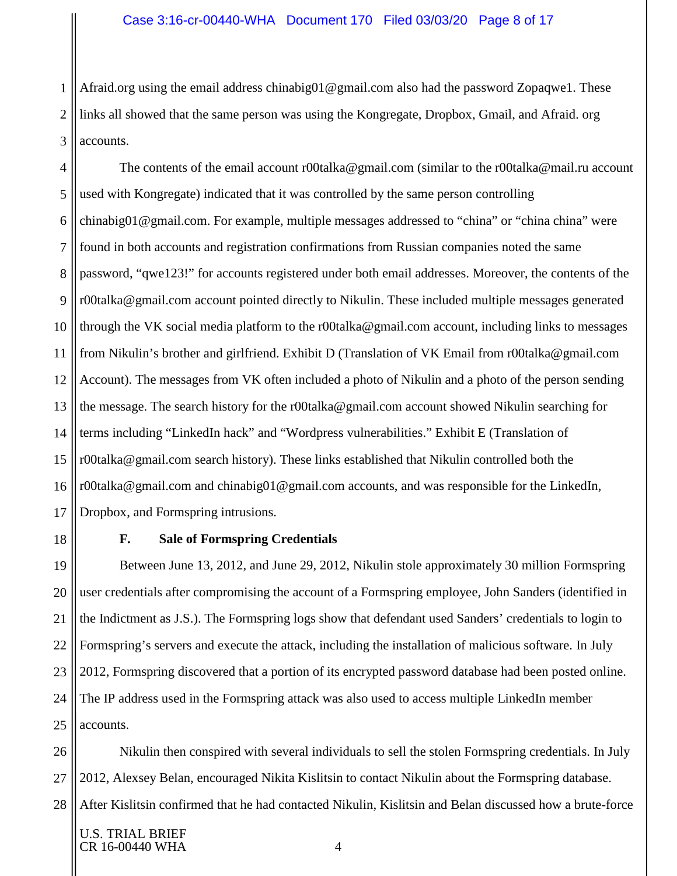1 2 3 Afraid.org using the email address chinabig01@gmail.com also had the password Zopaqwe1. These links all showed that the same person was using the Kongregate, Dropbox, Gmail, and Afraid. org accounts.

4 5 6 7 8 9 10 11 12 13 14 15 16 17 The contents of the email account r00talka@gmail.com (similar to the r00talka@mail.ru account used with Kongregate) indicated that it was controlled by the same person controlling chinabig01@gmail.com. For example, multiple messages addressed to "china" or "china china" were found in both accounts and registration confirmations from Russian companies noted the same password, "qwe123!" for accounts registered under both email addresses. Moreover, the contents of the r00talka@gmail.com account pointed directly to Nikulin. These included multiple messages generated through the VK social media platform to the r00talka@gmail.com account, including links to messages from Nikulin's brother and girlfriend. Exhibit D (Translation of VK Email from r00talka@gmail.com Account). The messages from VK often included a photo of Nikulin and a photo of the person sending the message. The search history for the r00talka@gmail.com account showed Nikulin searching for terms including "LinkedIn hack" and "Wordpress vulnerabilities." Exhibit E (Translation of r00talka@gmail.com search history). These links established that Nikulin controlled both the r00talka@gmail.com and chinabig01@gmail.com accounts, and was responsible for the LinkedIn, Dropbox, and Formspring intrusions.

<span id="page-7-0"></span>18

#### **F. Sale of Formspring Credentials**

19 20 21 22 23 24 25 Between June 13, 2012, and June 29, 2012, Nikulin stole approximately 30 million Formspring user credentials after compromising the account of a Formspring employee, John Sanders (identified in the Indictment as J.S.). The Formspring logs show that defendant used Sanders' credentials to login to Formspring's servers and execute the attack, including the installation of malicious software. In July 2012, Formspring discovered that a portion of its encrypted password database had been posted online. The IP address used in the Formspring attack was also used to access multiple LinkedIn member accounts.

26 27 28 Nikulin then conspired with several individuals to sell the stolen Formspring credentials. In July 2012, Alexsey Belan, encouraged Nikita Kislitsin to contact Nikulin about the Formspring database. After Kislitsin confirmed that he had contacted Nikulin, Kislitsin and Belan discussed how a brute-force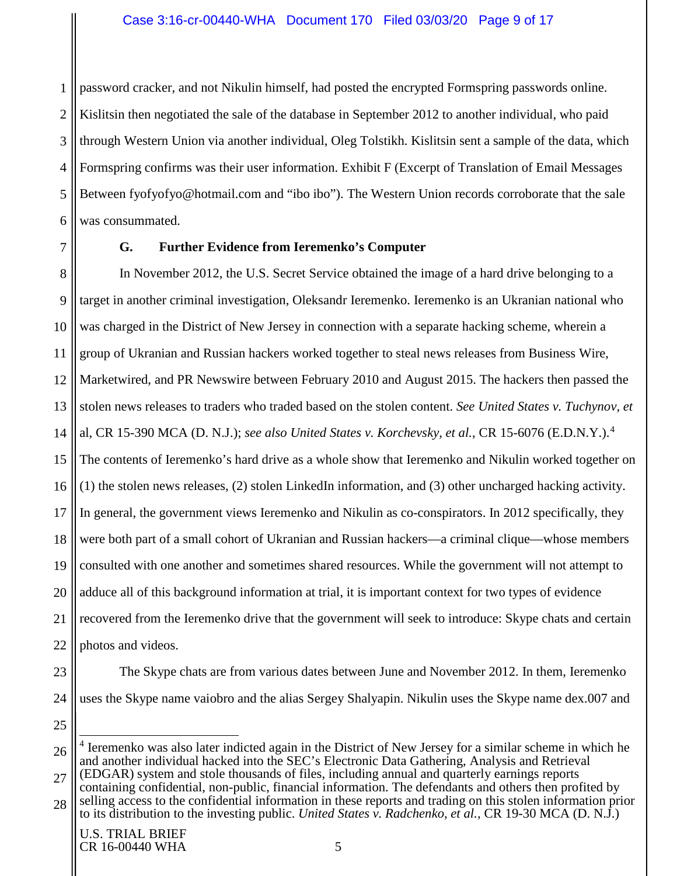1 2 3 4 5 6 password cracker, and not Nikulin himself, had posted the encrypted Formspring passwords online. Kislitsin then negotiated the sale of the database in September 2012 to another individual, who paid through Western Union via another individual, Oleg Tolstikh. Kislitsin sent a sample of the data, which Formspring confirms was their user information. Exhibit F (Excerpt of Translation of Email Messages Between fyofyofyo@hotmail.com and "ibo ibo"). The Western Union records corroborate that the sale was consummated.

<span id="page-8-0"></span>7

## **G. Further Evidence from Ieremenko's Computer**

8 9 10 11 12 13 14 15 16 17 18 19 20 21 22 In November 2012, the U.S. Secret Service obtained the image of a hard drive belonging to a target in another criminal investigation, Oleksandr Ieremenko. Ieremenko is an Ukranian national who was charged in the District of New Jersey in connection with a separate hacking scheme, wherein a group of Ukranian and Russian hackers worked together to steal news releases from Business Wire, Marketwired, and PR Newswire between February 2010 and August 2015. The hackers then passed the stolen news releases to traders who traded based on the stolen content. *See United States v. Tuchynov, et*  al, CR 15-390 MCA (D. N.J.); *see also United States v. Korchevsky, et al.*, CR 15-6076 (E.D.N.Y.).[4](#page-8-1) The contents of Ieremenko's hard drive as a whole show that Ieremenko and Nikulin worked together on (1) the stolen news releases, (2) stolen LinkedIn information, and (3) other uncharged hacking activity. In general, the government views Ieremenko and Nikulin as co-conspirators. In 2012 specifically, they were both part of a small cohort of Ukranian and Russian hackers—a criminal clique—whose members consulted with one another and sometimes shared resources. While the government will not attempt to adduce all of this background information at trial, it is important context for two types of evidence recovered from the Ieremenko drive that the government will seek to introduce: Skype chats and certain photos and videos.

23 24 The Skype chats are from various dates between June and November 2012. In them, Ieremenko uses the Skype name vaiobro and the alias Sergey Shalyapin. Nikulin uses the Skype name dex.007 and

<span id="page-8-1"></span><sup>26</sup> 27 4 Ieremenko was also later indicted again in the District of New Jersey for a similar scheme in which he and another individual hacked into the SEC's Electronic Data Gathering, Analysis and Retrieval (EDGAR) system and stole thousands of files, including annual and quarterly earnings reports

<sup>28</sup> containing confidential, non-public, financial information. The defendants and others then profited by selling access to the confidential information in these reports and trading on this stolen information prior to its distribution to the investing public. *United States v. Radchenko, et al.,* CR 19-30 MCA (D. N.J.)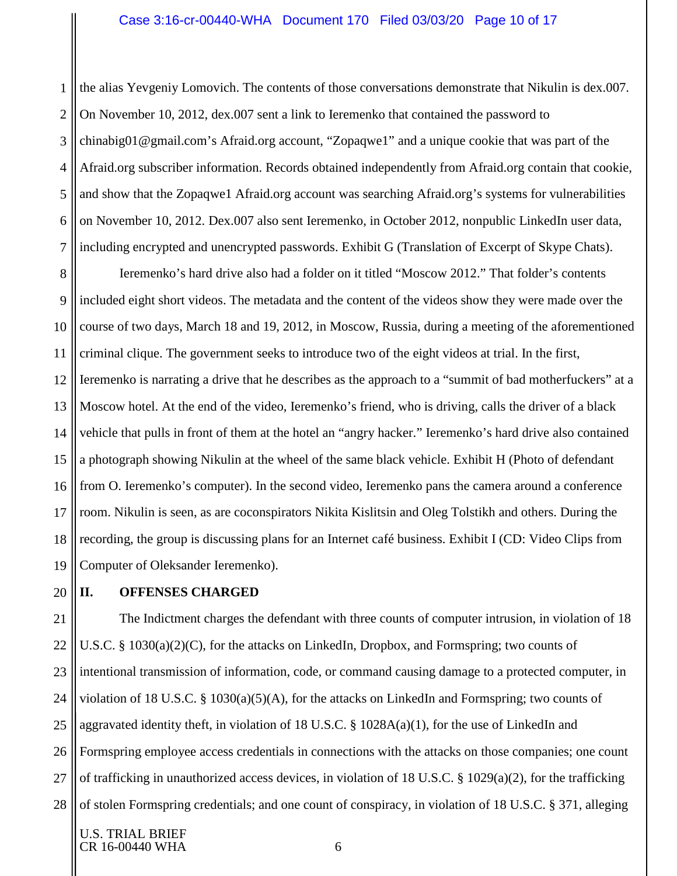1 2 3 4 5 6 7 the alias Yevgeniy Lomovich. The contents of those conversations demonstrate that Nikulin is dex.007. On November 10, 2012, dex.007 sent a link to Ieremenko that contained the password to chinabig01@gmail.com's Afraid.org account, "Zopaqwe1" and a unique cookie that was part of the Afraid.org subscriber information. Records obtained independently from Afraid.org contain that cookie, and show that the Zopaqwe1 Afraid.org account was searching Afraid.org's systems for vulnerabilities on November 10, 2012. Dex.007 also sent Ieremenko, in October 2012, nonpublic LinkedIn user data, including encrypted and unencrypted passwords. Exhibit G (Translation of Excerpt of Skype Chats).

8 9 10 11 12 13 14 15 16 17 18 19 Ieremenko's hard drive also had a folder on it titled "Moscow 2012." That folder's contents included eight short videos. The metadata and the content of the videos show they were made over the course of two days, March 18 and 19, 2012, in Moscow, Russia, during a meeting of the aforementioned criminal clique. The government seeks to introduce two of the eight videos at trial. In the first, Ieremenko is narrating a drive that he describes as the approach to a "summit of bad motherfuckers" at a Moscow hotel. At the end of the video, Ieremenko's friend, who is driving, calls the driver of a black vehicle that pulls in front of them at the hotel an "angry hacker." Ieremenko's hard drive also contained a photograph showing Nikulin at the wheel of the same black vehicle. Exhibit H (Photo of defendant from O. Ieremenko's computer). In the second video, Ieremenko pans the camera around a conference room. Nikulin is seen, as are coconspirators Nikita Kislitsin and Oleg Tolstikh and others. During the recording, the group is discussing plans for an Internet café business. Exhibit I (CD: Video Clips from Computer of Oleksander Ieremenko).

20

# <span id="page-9-0"></span>**II. OFFENSES CHARGED**

21 22 23 24 25 26 27 28 The Indictment charges the defendant with three counts of computer intrusion, in violation of 18 U.S.C. § 1030(a)(2)(C), for the attacks on LinkedIn, Dropbox, and Formspring; two counts of intentional transmission of information, code, or command causing damage to a protected computer, in violation of 18 U.S.C. § 1030(a)(5)(A), for the attacks on LinkedIn and Formspring; two counts of aggravated identity theft, in violation of 18 U.S.C.  $\S$  1028A(a)(1), for the use of LinkedIn and Formspring employee access credentials in connections with the attacks on those companies; one count of trafficking in unauthorized access devices, in violation of 18 U.S.C. § 1029(a)(2), for the trafficking of stolen Formspring credentials; and one count of conspiracy, in violation of 18 U.S.C. § 371, alleging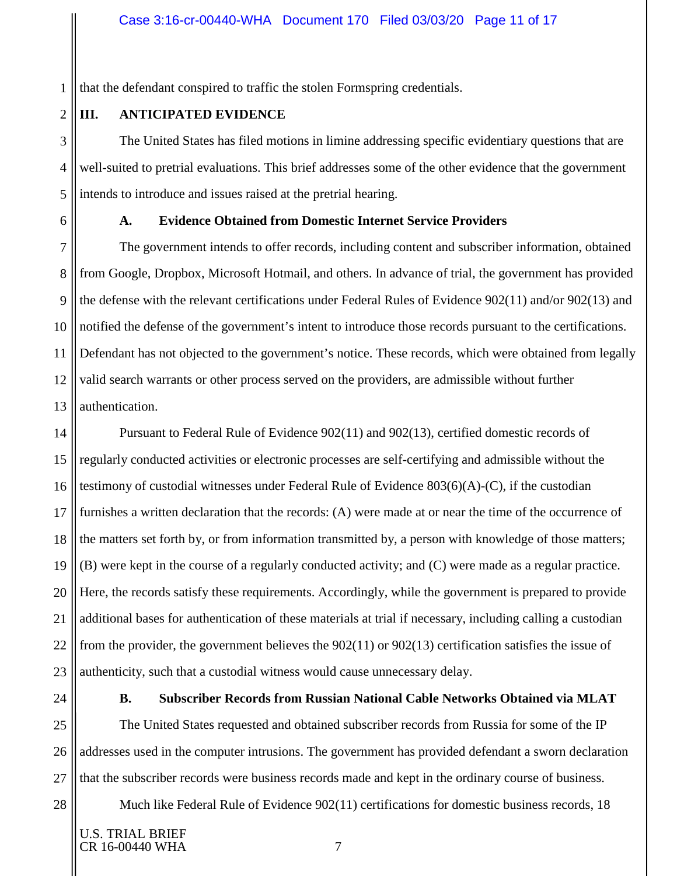1 that the defendant conspired to traffic the stolen Formspring credentials.

<span id="page-10-0"></span>**III. ANTICIPATED EVIDENCE**

The United States has filed motions in limine addressing specific evidentiary questions that are well-suited to pretrial evaluations. This brief addresses some of the other evidence that the government intends to introduce and issues raised at the pretrial hearing.

<span id="page-10-1"></span>

2

3

4

5

6

# **A. Evidence Obtained from Domestic Internet Service Providers**

7 8 9 10 11 12 13 The government intends to offer records, including content and subscriber information, obtained from Google, Dropbox, Microsoft Hotmail, and others. In advance of trial, the government has provided the defense with the relevant certifications under Federal Rules of Evidence 902(11) and/or 902(13) and notified the defense of the government's intent to introduce those records pursuant to the certifications. Defendant has not objected to the government's notice. These records, which were obtained from legally valid search warrants or other process served on the providers, are admissible without further authentication.

14 15 16 17 18 19 20 21 22 23 Pursuant to Federal Rule of Evidence 902(11) and 902(13), certified domestic records of regularly conducted activities or electronic processes are self-certifying and admissible without the testimony of custodial witnesses under Federal Rule of Evidence 803(6)(A)-(C), if the custodian furnishes a written declaration that the records: (A) were made at or near the time of the occurrence of the matters set forth by, or from information transmitted by, a person with knowledge of those matters; (B) were kept in the course of a regularly conducted activity; and (C) were made as a regular practice. Here, the records satisfy these requirements. Accordingly, while the government is prepared to provide additional bases for authentication of these materials at trial if necessary, including calling a custodian from the provider, the government believes the 902(11) or 902(13) certification satisfies the issue of authenticity, such that a custodial witness would cause unnecessary delay.

<span id="page-10-2"></span>24

28

## **B. Subscriber Records from Russian National Cable Networks Obtained via MLAT**

25 26 27 The United States requested and obtained subscriber records from Russia for some of the IP addresses used in the computer intrusions. The government has provided defendant a sworn declaration that the subscriber records were business records made and kept in the ordinary course of business.

Much like Federal Rule of Evidence 902(11) certifications for domestic business records, 18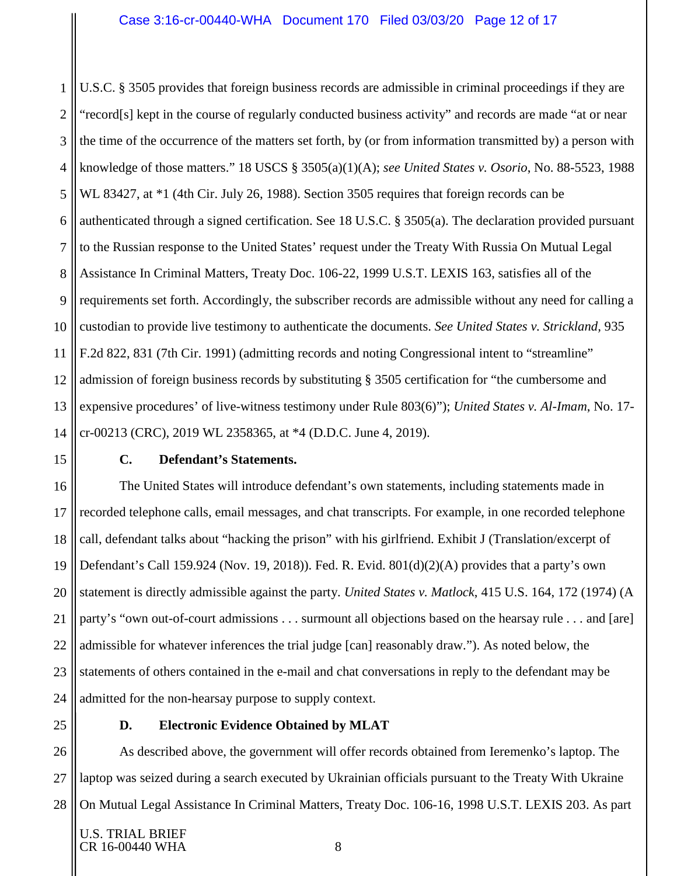1 2 3 4 5 6 7 8 9 10 11 12 13 14 U.S.C. § 3505 provides that foreign business records are admissible in criminal proceedings if they are "record[s] kept in the course of regularly conducted business activity" and records are made "at or near the time of the occurrence of the matters set forth, by (or from information transmitted by) a person with knowledge of those matters." 18 USCS § 3505(a)(1)(A); *see United States v. Osorio*, No. 88-5523, 1988 WL 83427, at \*1 (4th Cir. July 26, 1988). Section 3505 requires that foreign records can be authenticated through a signed certification. See 18 U.S.C. § 3505(a). The declaration provided pursuant to the Russian response to the United States' request under the Treaty With Russia On Mutual Legal Assistance In Criminal Matters, Treaty Doc. 106-22, 1999 U.S.T. LEXIS 163, satisfies all of the requirements set forth. Accordingly, the subscriber records are admissible without any need for calling a custodian to provide live testimony to authenticate the documents. *See United States v. Strickland,* 935 F.2d 822, 831 (7th Cir. 1991) (admitting records and noting Congressional intent to "streamline" admission of foreign business records by substituting § 3505 certification for "the cumbersome and expensive procedures' of live-witness testimony under Rule 803(6)"); *United States v. Al-Imam*, No. 17 cr-00213 (CRC), 2019 WL 2358365, at \*4 (D.D.C. June 4, 2019).

<span id="page-11-0"></span>15

## **C. Defendant's Statements.**

16 17 18 19 20 21 22 23 24 The United States will introduce defendant's own statements, including statements made in recorded telephone calls, email messages, and chat transcripts. For example, in one recorded telephone call, defendant talks about "hacking the prison" with his girlfriend. Exhibit J (Translation/excerpt of Defendant's Call 159.924 (Nov. 19, 2018)). Fed. R. Evid. 801(d)(2)(A) provides that a party's own statement is directly admissible against the party. *United States v. Matlock*, 415 U.S. 164, 172 (1974) (A party's "own out-of-court admissions . . . surmount all objections based on the hearsay rule . . . and [are] admissible for whatever inferences the trial judge [can] reasonably draw."). As noted below, the statements of others contained in the e-mail and chat conversations in reply to the defendant may be admitted for the non-hearsay purpose to supply context.

<span id="page-11-1"></span>25

#### **D. Electronic Evidence Obtained by MLAT**

26 27 28 As described above, the government will offer records obtained from Ieremenko's laptop. The laptop was seized during a search executed by Ukrainian officials pursuant to the Treaty With Ukraine On Mutual Legal Assistance In Criminal Matters, Treaty Doc. 106-16, 1998 U.S.T. LEXIS 203. As part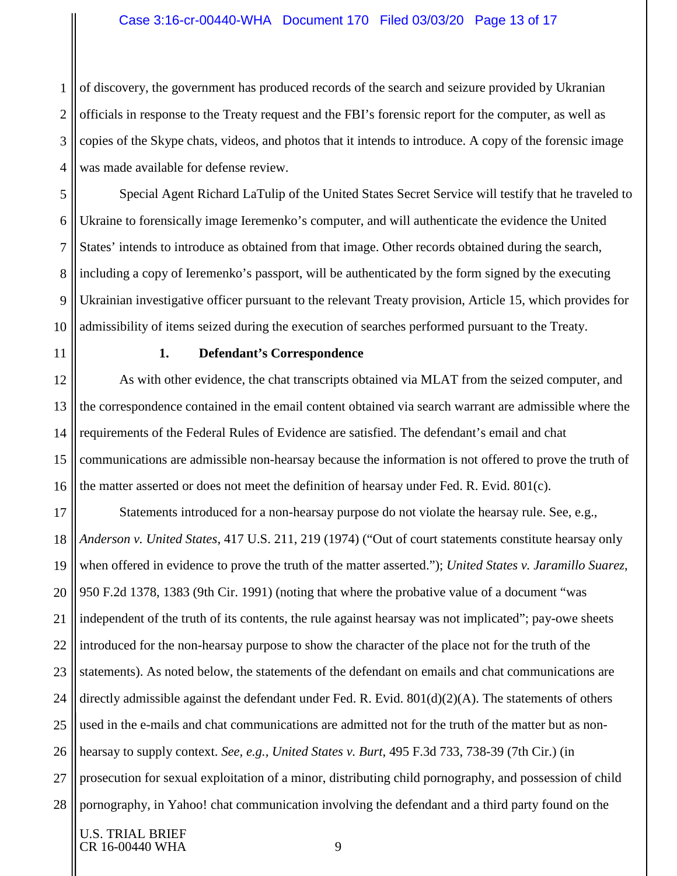## Case 3:16-cr-00440-WHA Document 170 Filed 03/03/20 Page 13 of 17

1 2 3 4 of discovery, the government has produced records of the search and seizure provided by Ukranian officials in response to the Treaty request and the FBI's forensic report for the computer, as well as copies of the Skype chats, videos, and photos that it intends to introduce. A copy of the forensic image was made available for defense review.

5 6 7 8 9 10 Special Agent Richard LaTulip of the United States Secret Service will testify that he traveled to Ukraine to forensically image Ieremenko's computer, and will authenticate the evidence the United States' intends to introduce as obtained from that image. Other records obtained during the search, including a copy of Ieremenko's passport, will be authenticated by the form signed by the executing Ukrainian investigative officer pursuant to the relevant Treaty provision, Article 15, which provides for admissibility of items seized during the execution of searches performed pursuant to the Treaty.

<span id="page-12-0"></span>11

#### **1. Defendant's Correspondence**

12 13 14 15 16 As with other evidence, the chat transcripts obtained via MLAT from the seized computer, and the correspondence contained in the email content obtained via search warrant are admissible where the requirements of the Federal Rules of Evidence are satisfied. The defendant's email and chat communications are admissible non-hearsay because the information is not offered to prove the truth of the matter asserted or does not meet the definition of hearsay under Fed. R. Evid. 801(c).

17 18 19 20 21 22 23 24 25 26 27 28 Statements introduced for a non-hearsay purpose do not violate the hearsay rule. See, e.g., *Anderson v. United States*, 417 U.S. 211, 219 (1974) ("Out of court statements constitute hearsay only when offered in evidence to prove the truth of the matter asserted."); *United States v. Jaramillo Suarez*, 950 F.2d 1378, 1383 (9th Cir. 1991) (noting that where the probative value of a document "was independent of the truth of its contents, the rule against hearsay was not implicated"; pay-owe sheets introduced for the non-hearsay purpose to show the character of the place not for the truth of the statements). As noted below, the statements of the defendant on emails and chat communications are directly admissible against the defendant under Fed. R. Evid.  $801(d)(2)(A)$ . The statements of others used in the e-mails and chat communications are admitted not for the truth of the matter but as nonhearsay to supply context. *See, e.g., United States v. Burt*, 495 F.3d 733, 738-39 (7th Cir.) (in prosecution for sexual exploitation of a minor, distributing child pornography, and possession of child pornography, in Yahoo! chat communication involving the defendant and a third party found on the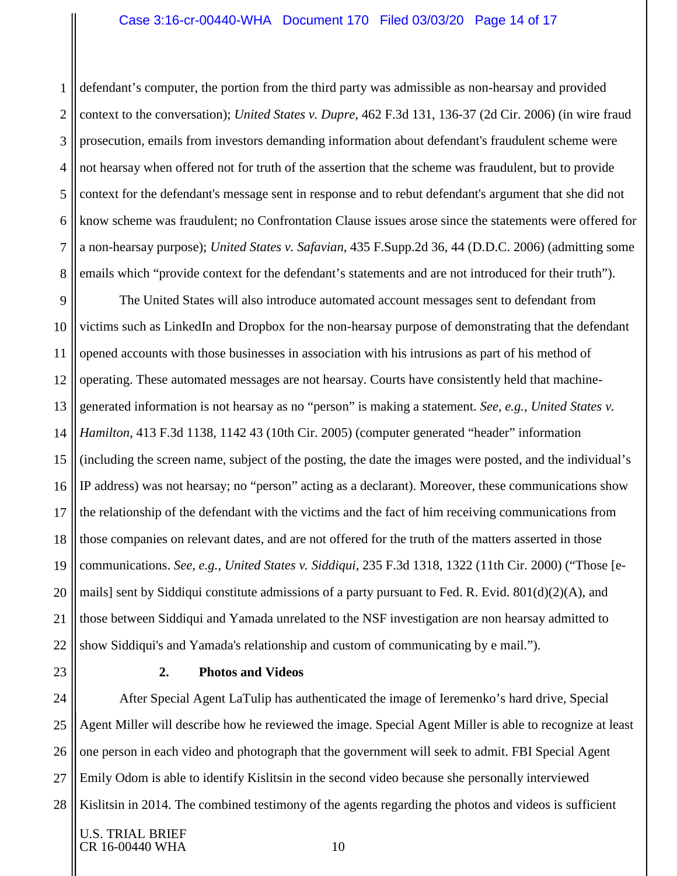#### Case 3:16-cr-00440-WHA Document 170 Filed 03/03/20 Page 14 of 17

1 2 3 4 5 6 7 8 defendant's computer, the portion from the third party was admissible as non-hearsay and provided context to the conversation); *United States v. Dupre*, 462 F.3d 131, 136-37 (2d Cir. 2006) (in wire fraud prosecution, emails from investors demanding information about defendant's fraudulent scheme were not hearsay when offered not for truth of the assertion that the scheme was fraudulent, but to provide context for the defendant's message sent in response and to rebut defendant's argument that she did not know scheme was fraudulent; no Confrontation Clause issues arose since the statements were offered for a non-hearsay purpose); *United States v. Safavian*, 435 F.Supp.2d 36, 44 (D.D.C. 2006) (admitting some emails which "provide context for the defendant's statements and are not introduced for their truth").

9 10 11 12 13 14 15 16 17 18 19 20 21 22 The United States will also introduce automated account messages sent to defendant from victims such as LinkedIn and Dropbox for the non-hearsay purpose of demonstrating that the defendant opened accounts with those businesses in association with his intrusions as part of his method of operating. These automated messages are not hearsay. Courts have consistently held that machinegenerated information is not hearsay as no "person" is making a statement. *See, e.g., United States v. Hamilton*, 413 F.3d 1138, 1142 43 (10th Cir. 2005) (computer generated "header" information (including the screen name, subject of the posting, the date the images were posted, and the individual's IP address) was not hearsay; no "person" acting as a declarant). Moreover, these communications show the relationship of the defendant with the victims and the fact of him receiving communications from those companies on relevant dates, and are not offered for the truth of the matters asserted in those communications. *See, e.g., United States v. Siddiqui*, 235 F.3d 1318, 1322 (11th Cir. 2000) ("Those [emails] sent by Siddiqui constitute admissions of a party pursuant to Fed. R. Evid.  $801(d)(2)(A)$ , and those between Siddiqui and Yamada unrelated to the NSF investigation are non hearsay admitted to show Siddiqui's and Yamada's relationship and custom of communicating by e mail.").

<span id="page-13-0"></span>23

### **2. Photos and Videos**

24 25 26 27 28 After Special Agent LaTulip has authenticated the image of Ieremenko's hard drive, Special Agent Miller will describe how he reviewed the image. Special Agent Miller is able to recognize at least one person in each video and photograph that the government will seek to admit. FBI Special Agent Emily Odom is able to identify Kislitsin in the second video because she personally interviewed Kislitsin in 2014. The combined testimony of the agents regarding the photos and videos is sufficient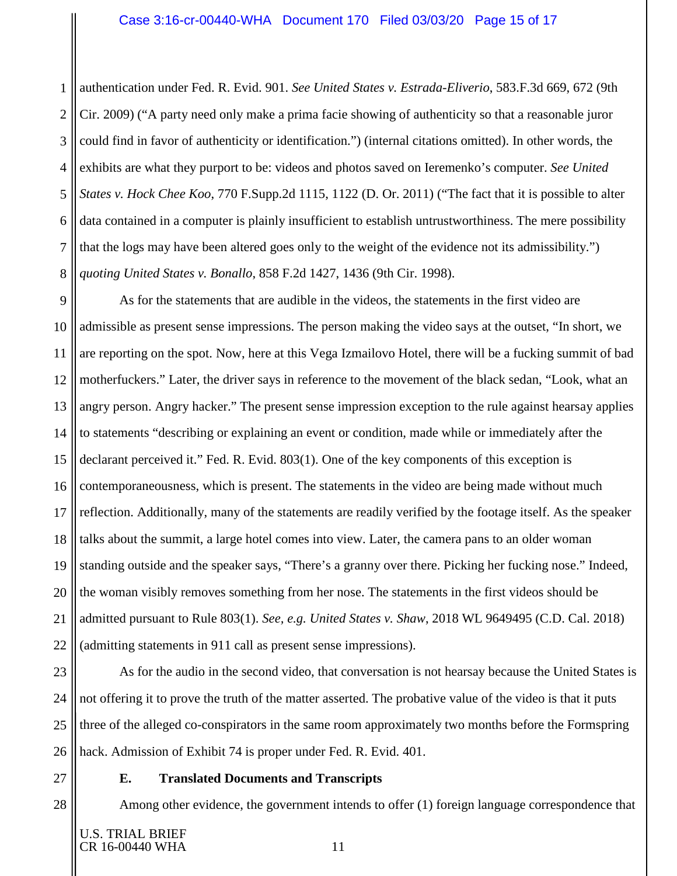#### Case 3:16-cr-00440-WHA Document 170 Filed 03/03/20 Page 15 of 17

1 2 3 4 5 6 7 8 authentication under Fed. R. Evid. 901. *See United States v. Estrada-Eliverio*, 583.F.3d 669, 672 (9th Cir. 2009) ("A party need only make a prima facie showing of authenticity so that a reasonable juror could find in favor of authenticity or identification.") (internal citations omitted). In other words, the exhibits are what they purport to be: videos and photos saved on Ieremenko's computer. *See United States v. Hock Chee Koo*, 770 F.Supp.2d 1115, 1122 (D. Or. 2011) ("The fact that it is possible to alter data contained in a computer is plainly insufficient to establish untrustworthiness. The mere possibility that the logs may have been altered goes only to the weight of the evidence not its admissibility.") *quoting United States v. Bonallo*, 858 F.2d 1427, 1436 (9th Cir. 1998).

9 10 11 12 13 14 15 16 17 18 19 20 21 22 As for the statements that are audible in the videos, the statements in the first video are admissible as present sense impressions. The person making the video says at the outset, "In short, we are reporting on the spot. Now, here at this Vega Izmailovo Hotel, there will be a fucking summit of bad motherfuckers." Later, the driver says in reference to the movement of the black sedan, "Look, what an angry person. Angry hacker." The present sense impression exception to the rule against hearsay applies to statements "describing or explaining an event or condition, made while or immediately after the declarant perceived it." Fed. R. Evid. 803(1). One of the key components of this exception is contemporaneousness, which is present. The statements in the video are being made without much reflection. Additionally, many of the statements are readily verified by the footage itself. As the speaker talks about the summit, a large hotel comes into view. Later, the camera pans to an older woman standing outside and the speaker says, "There's a granny over there. Picking her fucking nose." Indeed, the woman visibly removes something from her nose. The statements in the first videos should be admitted pursuant to Rule 803(1). *See, e.g. United States v. Shaw*, 2018 WL 9649495 (C.D. Cal. 2018) (admitting statements in 911 call as present sense impressions).

23 24 25 26 As for the audio in the second video, that conversation is not hearsay because the United States is not offering it to prove the truth of the matter asserted. The probative value of the video is that it puts three of the alleged co-conspirators in the same room approximately two months before the Formspring hack. Admission of Exhibit 74 is proper under Fed. R. Evid. 401.

<span id="page-14-0"></span>27

28

#### **E. Translated Documents and Transcripts**

Among other evidence, the government intends to offer (1) foreign language correspondence that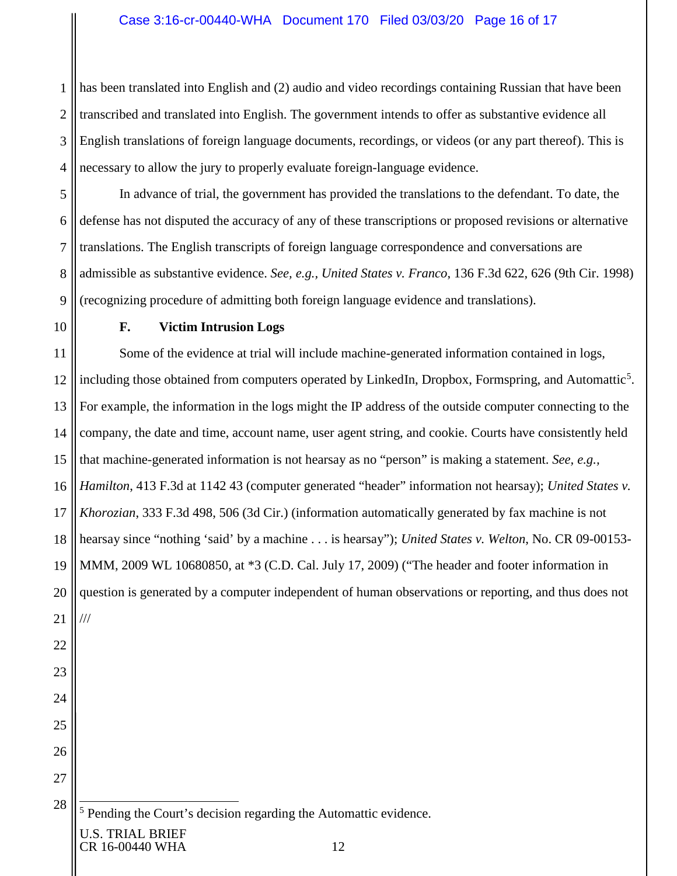1 2 3 4 has been translated into English and (2) audio and video recordings containing Russian that have been transcribed and translated into English. The government intends to offer as substantive evidence all English translations of foreign language documents, recordings, or videos (or any part thereof). This is necessary to allow the jury to properly evaluate foreign-language evidence.

5 6 7 8 9 In advance of trial, the government has provided the translations to the defendant. To date, the defense has not disputed the accuracy of any of these transcriptions or proposed revisions or alternative translations. The English transcripts of foreign language correspondence and conversations are admissible as substantive evidence. *See, e.g., United States v. Franco*, 136 F.3d 622, 626 (9th Cir. 1998) (recognizing procedure of admitting both foreign language evidence and translations).

<span id="page-15-0"></span>10

26

27

<span id="page-15-1"></span>28

# **F. Victim Intrusion Logs**

11 12 13 14 15 16 17 18 19 20 21 22 23 24 25 Some of the evidence at trial will include machine-generated information contained in logs, including those obtained from computers operated by LinkedIn, Dropbox, Formspring, and Automattic<sup>[5](#page-15-1)</sup>. For example, the information in the logs might the IP address of the outside computer connecting to the company, the date and time, account name, user agent string, and cookie. Courts have consistently held that machine-generated information is not hearsay as no "person" is making a statement. *See, e.g., Hamilton*, 413 F.3d at 1142 43 (computer generated "header" information not hearsay); *United States v. Khorozian*, 333 F.3d 498, 506 (3d Cir.) (information automatically generated by fax machine is not hearsay since "nothing 'said' by a machine . . . is hearsay"); *United States v. Welton*, No. CR 09-00153- MMM, 2009 WL 10680850, at \*3 (C.D. Cal. July 17, 2009) ("The header and footer information in question is generated by a computer independent of human observations or reporting, and thus does not ///

5 Pending the Court's decision regarding the Automattic evidence.